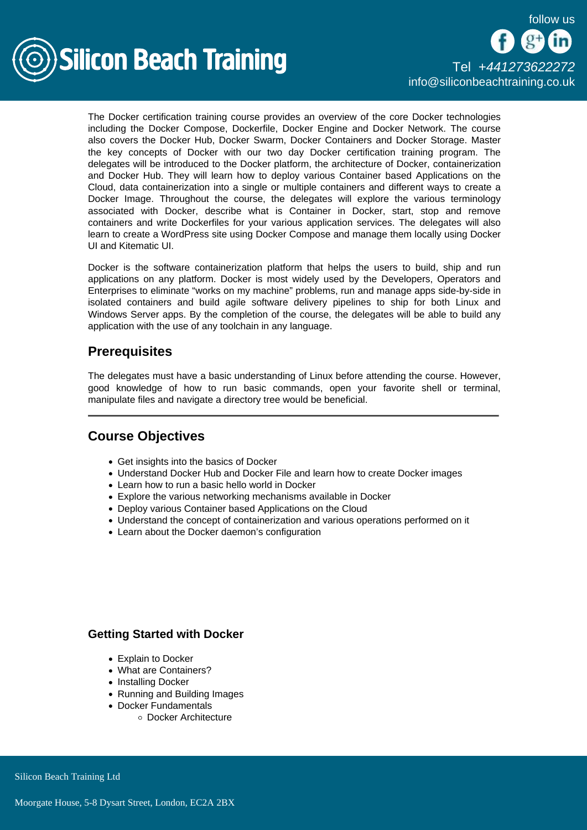

# [Tel +44](tel:+441273622272)1273622272 [info@siliconbeachtraining.co.uk](/var/www/html/siliconbeachtraining.co.uk/public/mailTo:info@siliconbeachtraining.co.uk)

The Docker certification training course provides an overview of the core Docker technologies including the Docker Compose, Dockerfile, Docker Engine and Docker Network. The course also covers the Docker Hub, Docker Swarm, Docker Containers and Docker Storage. Master the key concepts of Docker with our two day Docker certification training program. The delegates will be introduced to the Docker platform, the architecture of Docker, containerization and Docker Hub. They will learn how to deploy various Container based Applications on the Cloud, data containerization into a single or multiple containers and different ways to create a Docker Image. Throughout the course, the delegates will explore the various terminology associated with Docker, describe what is Container in Docker, start, stop and remove containers and write Dockerfiles for your various application services. The delegates will also learn to create a WordPress site using Docker Compose and manage them locally using Docker UI and Kitematic UI.

Docker is the software containerization platform that helps the users to build, ship and run applications on any platform. Docker is most widely used by the Developers, Operators and Enterprises to eliminate "works on my machine" problems, run and manage apps side-by-side in isolated containers and build agile software delivery pipelines to ship for both Linux and Windows Server apps. By the completion of the course, the delegates will be able to build any application with the use of any toolchain in any language.

# **Prerequisites**

The delegates must have a basic understanding of Linux before attending the course. However, good knowledge of how to run basic commands, open your favorite shell or terminal, manipulate files and navigate a directory tree would be beneficial.

# Course Objectives

- Get insights into the basics of Docker
- Understand Docker Hub and Docker File and learn how to create Docker images
- Learn how to run a basic hello world in Docker
- Explore the various networking mechanisms available in Docker
- Deploy various Container based Applications on the Cloud
- Understand the concept of containerization and various operations performed on it
- Learn about the Docker daemon's configuration

## Getting Started with Docker

- Explain to Docker
- What are Containers?
- Installing Docker
- Running and Building Images
- Docker Fundamentals
	- Docker Architecture

Silicon Beach Training Ltd